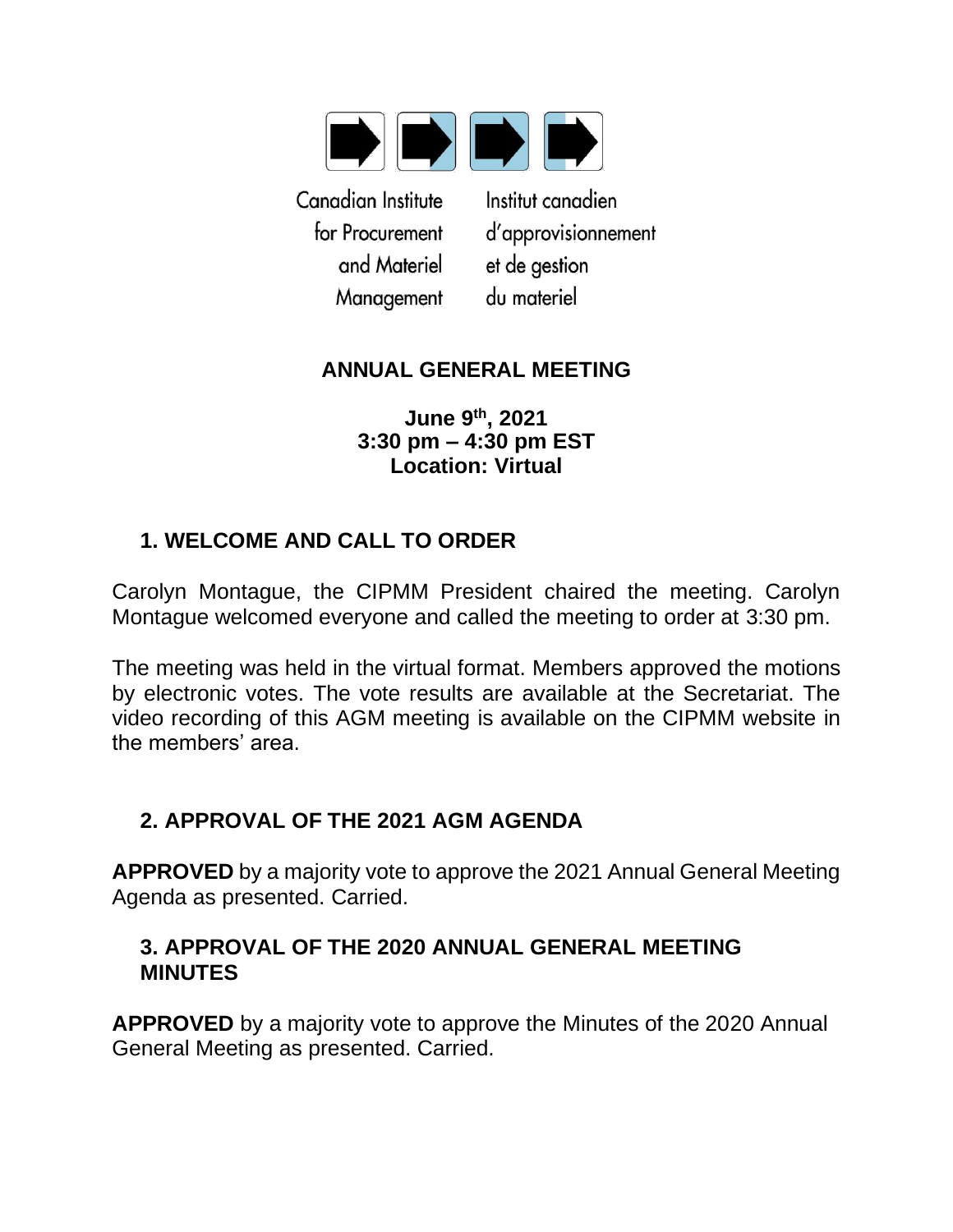

Canadian Institute for Procurement and Materiel Management

Institut canadien d'approvisionnement et de gestion du materiel

## **ANNUAL GENERAL MEETING**

**June 9th, 2021 3:30 pm – 4:30 pm EST Location: Virtual**

# **1. WELCOME AND CALL TO ORDER**

Carolyn Montague, the CIPMM President chaired the meeting. Carolyn Montague welcomed everyone and called the meeting to order at 3:30 pm.

The meeting was held in the virtual format. Members approved the motions by electronic votes. The vote results are available at the Secretariat. The video recording of this AGM meeting is available on the CIPMM website in the members' area.

## **2. APPROVAL OF THE 2021 AGM AGENDA**

**APPROVED** by a majority vote to approve the 2021 Annual General Meeting Agenda as presented. Carried.

### **3. APPROVAL OF THE 2020 ANNUAL GENERAL MEETING MINUTES**

**APPROVED** by a majority vote to approve the Minutes of the 2020 Annual General Meeting as presented. Carried.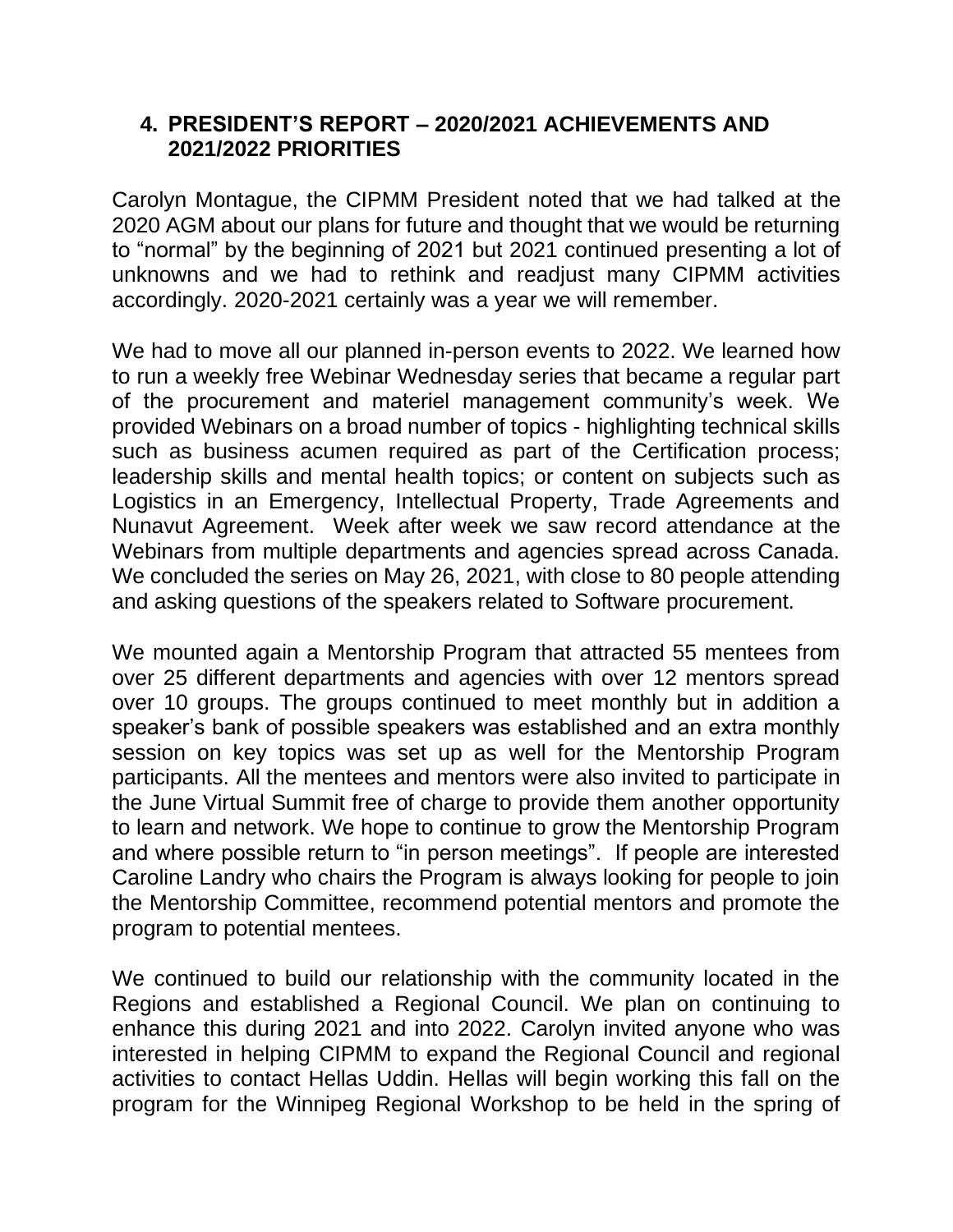### **4. PRESIDENT'S REPORT – 2020/2021 ACHIEVEMENTS AND 2021/2022 PRIORITIES**

Carolyn Montague, the CIPMM President noted that we had talked at the 2020 AGM about our plans for future and thought that we would be returning to "normal" by the beginning of 2021 but 2021 continued presenting a lot of unknowns and we had to rethink and readjust many CIPMM activities accordingly. 2020-2021 certainly was a year we will remember.

We had to move all our planned in-person events to 2022. We learned how to run a weekly free Webinar Wednesday series that became a regular part of the procurement and materiel management community's week. We provided Webinars on a broad number of topics - highlighting technical skills such as business acumen required as part of the Certification process; leadership skills and mental health topics; or content on subjects such as Logistics in an Emergency, Intellectual Property, Trade Agreements and Nunavut Agreement. Week after week we saw record attendance at the Webinars from multiple departments and agencies spread across Canada. We concluded the series on May 26, 2021, with close to 80 people attending and asking questions of the speakers related to Software procurement.

We mounted again a Mentorship Program that attracted 55 mentees from over 25 different departments and agencies with over 12 mentors spread over 10 groups. The groups continued to meet monthly but in addition a speaker's bank of possible speakers was established and an extra monthly session on key topics was set up as well for the Mentorship Program participants. All the mentees and mentors were also invited to participate in the June Virtual Summit free of charge to provide them another opportunity to learn and network. We hope to continue to grow the Mentorship Program and where possible return to "in person meetings". If people are interested Caroline Landry who chairs the Program is always looking for people to join the Mentorship Committee, recommend potential mentors and promote the program to potential mentees.

We continued to build our relationship with the community located in the Regions and established a Regional Council. We plan on continuing to enhance this during 2021 and into 2022. Carolyn invited anyone who was interested in helping CIPMM to expand the Regional Council and regional activities to contact Hellas Uddin. Hellas will begin working this fall on the program for the Winnipeg Regional Workshop to be held in the spring of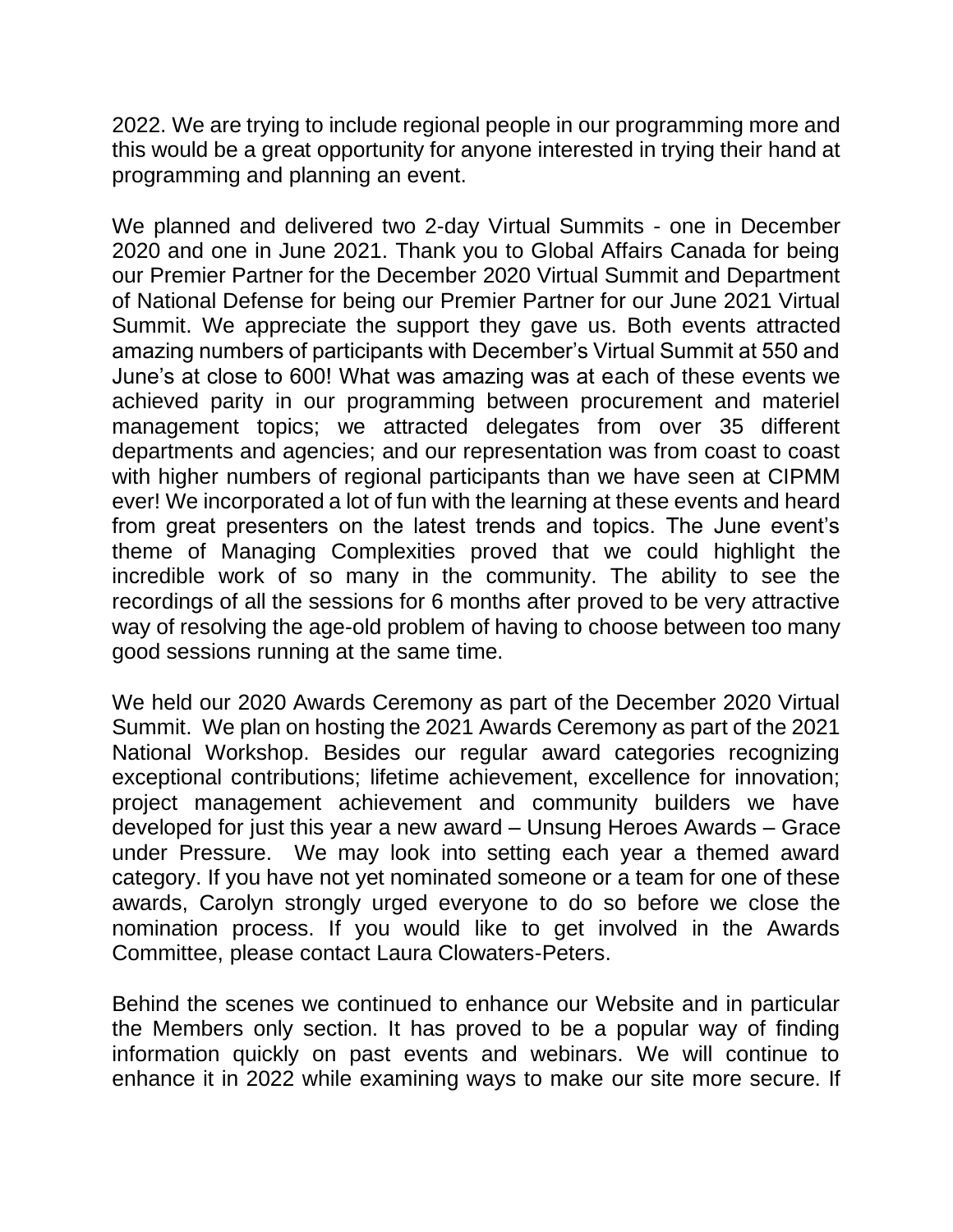2022. We are trying to include regional people in our programming more and this would be a great opportunity for anyone interested in trying their hand at programming and planning an event.

We planned and delivered two 2-day Virtual Summits - one in December 2020 and one in June 2021. Thank you to Global Affairs Canada for being our Premier Partner for the December 2020 Virtual Summit and Department of National Defense for being our Premier Partner for our June 2021 Virtual Summit. We appreciate the support they gave us. Both events attracted amazing numbers of participants with December's Virtual Summit at 550 and June's at close to 600! What was amazing was at each of these events we achieved parity in our programming between procurement and materiel management topics; we attracted delegates from over 35 different departments and agencies; and our representation was from coast to coast with higher numbers of regional participants than we have seen at CIPMM ever! We incorporated a lot of fun with the learning at these events and heard from great presenters on the latest trends and topics. The June event's theme of Managing Complexities proved that we could highlight the incredible work of so many in the community. The ability to see the recordings of all the sessions for 6 months after proved to be very attractive way of resolving the age-old problem of having to choose between too many good sessions running at the same time.

We held our 2020 Awards Ceremony as part of the December 2020 Virtual Summit. We plan on hosting the 2021 Awards Ceremony as part of the 2021 National Workshop. Besides our regular award categories recognizing exceptional contributions; lifetime achievement, excellence for innovation; project management achievement and community builders we have developed for just this year a new award – Unsung Heroes Awards – Grace under Pressure. We may look into setting each year a themed award category. If you have not yet nominated someone or a team for one of these awards, Carolyn strongly urged everyone to do so before we close the nomination process. If you would like to get involved in the Awards Committee, please contact Laura Clowaters-Peters.

Behind the scenes we continued to enhance our Website and in particular the Members only section. It has proved to be a popular way of finding information quickly on past events and webinars. We will continue to enhance it in 2022 while examining ways to make our site more secure. If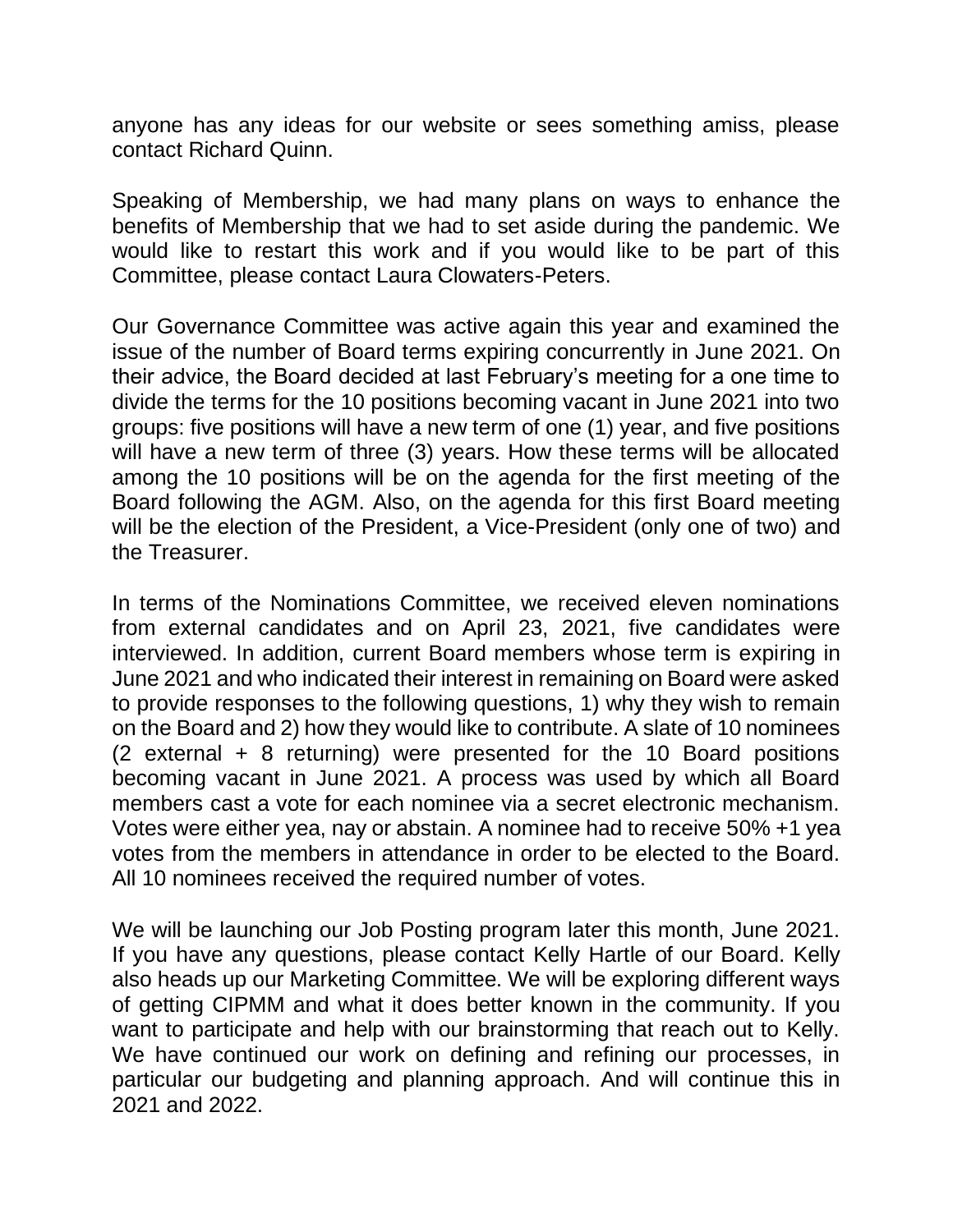anyone has any ideas for our website or sees something amiss, please contact Richard Quinn.

Speaking of Membership, we had many plans on ways to enhance the benefits of Membership that we had to set aside during the pandemic. We would like to restart this work and if you would like to be part of this Committee, please contact Laura Clowaters-Peters.

Our Governance Committee was active again this year and examined the issue of the number of Board terms expiring concurrently in June 2021. On their advice, the Board decided at last February's meeting for a one time to divide the terms for the 10 positions becoming vacant in June 2021 into two groups: five positions will have a new term of one (1) year, and five positions will have a new term of three (3) years. How these terms will be allocated among the 10 positions will be on the agenda for the first meeting of the Board following the AGM. Also, on the agenda for this first Board meeting will be the election of the President, a Vice-President (only one of two) and the Treasurer.

In terms of the Nominations Committee, we received eleven nominations from external candidates and on April 23, 2021, five candidates were interviewed. In addition, current Board members whose term is expiring in June 2021 and who indicated their interest in remaining on Board were asked to provide responses to the following questions, 1) why they wish to remain on the Board and 2) how they would like to contribute. A slate of 10 nominees (2 external + 8 returning) were presented for the 10 Board positions becoming vacant in June 2021. A process was used by which all Board members cast a vote for each nominee via a secret electronic mechanism. Votes were either yea, nay or abstain. A nominee had to receive 50% +1 yea votes from the members in attendance in order to be elected to the Board. All 10 nominees received the required number of votes.

We will be launching our Job Posting program later this month, June 2021. If you have any questions, please contact Kelly Hartle of our Board. Kelly also heads up our Marketing Committee. We will be exploring different ways of getting CIPMM and what it does better known in the community. If you want to participate and help with our brainstorming that reach out to Kelly. We have continued our work on defining and refining our processes, in particular our budgeting and planning approach. And will continue this in 2021 and 2022.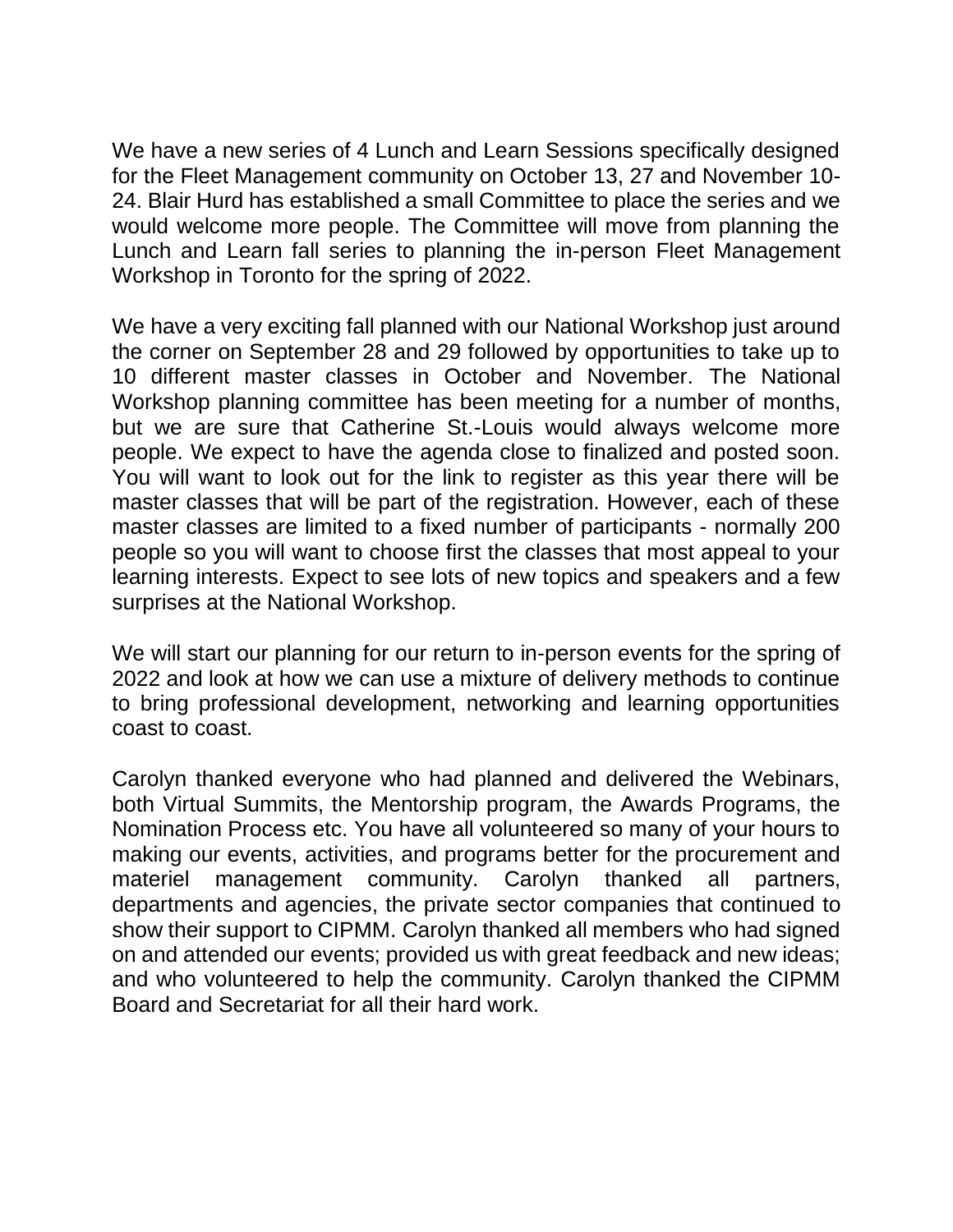We have a new series of 4 Lunch and Learn Sessions specifically designed for the Fleet Management community on October 13, 27 and November 10- 24. Blair Hurd has established a small Committee to place the series and we would welcome more people. The Committee will move from planning the Lunch and Learn fall series to planning the in-person Fleet Management Workshop in Toronto for the spring of 2022.

We have a very exciting fall planned with our National Workshop just around the corner on September 28 and 29 followed by opportunities to take up to 10 different master classes in October and November. The National Workshop planning committee has been meeting for a number of months, but we are sure that Catherine St.-Louis would always welcome more people. We expect to have the agenda close to finalized and posted soon. You will want to look out for the link to register as this year there will be master classes that will be part of the registration. However, each of these master classes are limited to a fixed number of participants - normally 200 people so you will want to choose first the classes that most appeal to your learning interests. Expect to see lots of new topics and speakers and a few surprises at the National Workshop.

We will start our planning for our return to in-person events for the spring of 2022 and look at how we can use a mixture of delivery methods to continue to bring professional development, networking and learning opportunities coast to coast.

Carolyn thanked everyone who had planned and delivered the Webinars, both Virtual Summits, the Mentorship program, the Awards Programs, the Nomination Process etc. You have all volunteered so many of your hours to making our events, activities, and programs better for the procurement and materiel management community. Carolyn thanked all partners, departments and agencies, the private sector companies that continued to show their support to CIPMM. Carolyn thanked all members who had signed on and attended our events; provided us with great feedback and new ideas; and who volunteered to help the community. Carolyn thanked the CIPMM Board and Secretariat for all their hard work.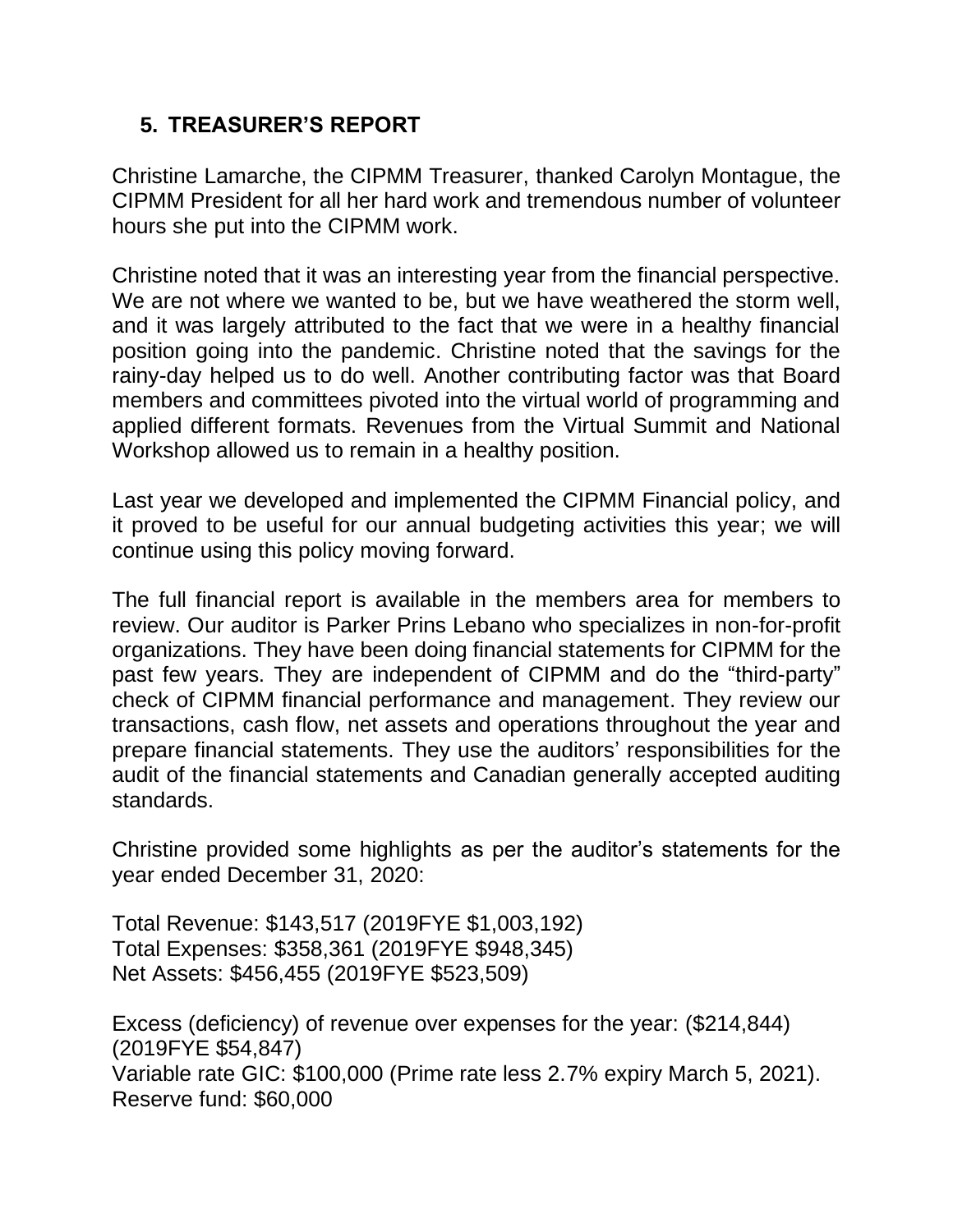### **5. TREASURER'S REPORT**

Christine Lamarche, the CIPMM Treasurer, thanked Carolyn Montague, the CIPMM President for all her hard work and tremendous number of volunteer hours she put into the CIPMM work.

Christine noted that it was an interesting year from the financial perspective. We are not where we wanted to be, but we have weathered the storm well. and it was largely attributed to the fact that we were in a healthy financial position going into the pandemic. Christine noted that the savings for the rainy-day helped us to do well. Another contributing factor was that Board members and committees pivoted into the virtual world of programming and applied different formats. Revenues from the Virtual Summit and National Workshop allowed us to remain in a healthy position.

Last year we developed and implemented the CIPMM Financial policy, and it proved to be useful for our annual budgeting activities this year; we will continue using this policy moving forward.

The full financial report is available in the members area for members to review. Our auditor is Parker Prins Lebano who specializes in non-for-profit organizations. They have been doing financial statements for CIPMM for the past few years. They are independent of CIPMM and do the "third-party" check of CIPMM financial performance and management. They review our transactions, cash flow, net assets and operations throughout the year and prepare financial statements. They use the auditors' responsibilities for the audit of the financial statements and Canadian generally accepted auditing standards.

Christine provided some highlights as per the auditor's statements for the year ended December 31, 2020:

Total Revenue: \$143,517 (2019FYE \$1,003,192) Total Expenses: \$358,361 (2019FYE \$948,345) Net Assets: \$456,455 (2019FYE \$523,509)

Excess (deficiency) of revenue over expenses for the year: (\$214,844) (2019FYE \$54,847) Variable rate GIC: \$100,000 (Prime rate less 2.7% expiry March 5, 2021). Reserve fund: \$60,000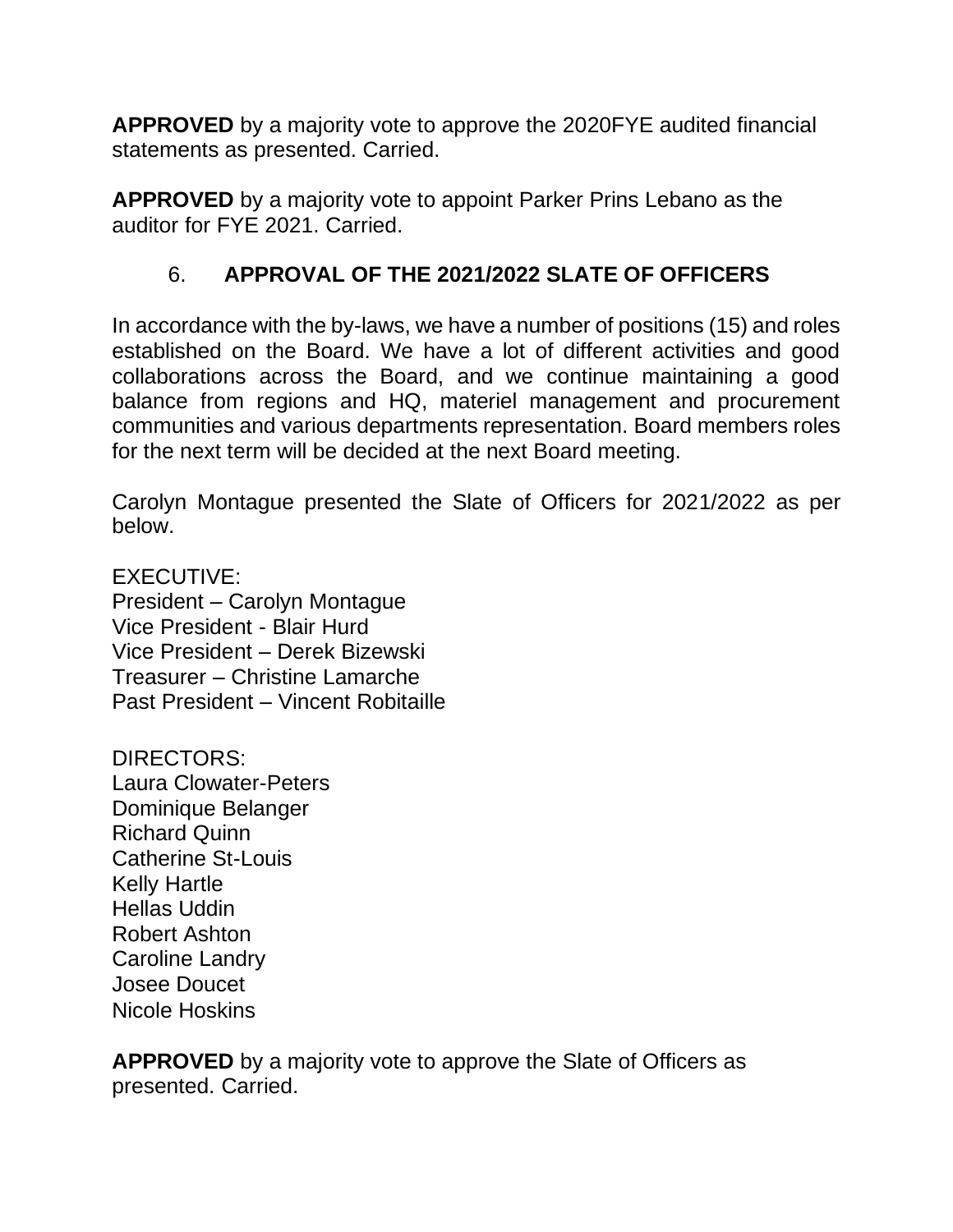**APPROVED** by a majority vote to approve the 2020FYE audited financial statements as presented. Carried.

**APPROVED** by a majority vote to appoint Parker Prins Lebano as the auditor for FYE 2021. Carried.

## 6. **APPROVAL OF THE 2021/2022 SLATE OF OFFICERS**

In accordance with the by-laws, we have a number of positions (15) and roles established on the Board. We have a lot of different activities and good collaborations across the Board, and we continue maintaining a good balance from regions and HQ, materiel management and procurement communities and various departments representation. Board members roles for the next term will be decided at the next Board meeting.

Carolyn Montague presented the Slate of Officers for 2021/2022 as per below.

EXECUTIVE: President – Carolyn Montague Vice President - Blair Hurd Vice President – Derek Bizewski Treasurer – Christine Lamarche Past President – Vincent Robitaille

DIRECTORS: Laura Clowater-Peters Dominique Belanger Richard Quinn Catherine St-Louis Kelly Hartle Hellas Uddin Robert Ashton Caroline Landry Josee Doucet Nicole Hoskins

**APPROVED** by a majority vote to approve the Slate of Officers as presented. Carried.